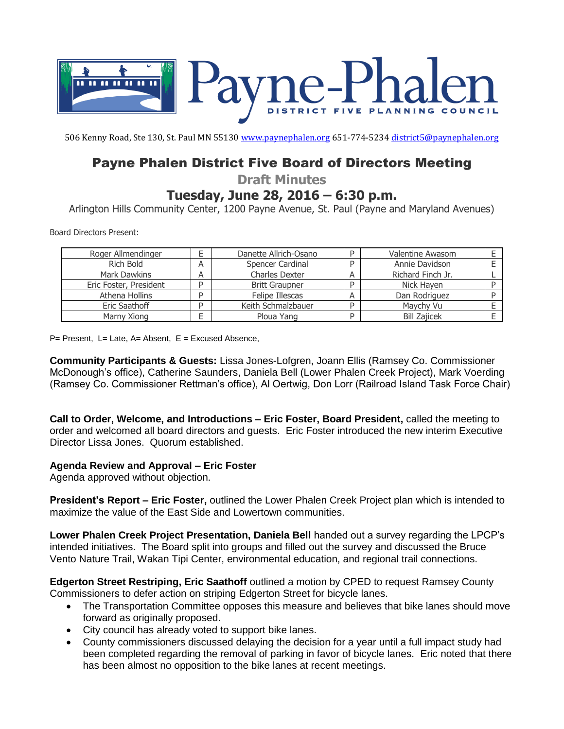

506 Kenny Road, Ste 130, St. Paul MN 55130 [www.paynephalen.org](http://www.paynephalen.org/) 651-774-5234 [district5@paynephalen.org](mailto:district5@paynephalen.org)

# Payne Phalen District Five Board of Directors Meeting

**Draft Minutes**

## **Tuesday, June 28, 2016 – 6:30 p.m.**

Arlington Hills Community Center, 1200 Payne Avenue, St. Paul (Payne and Maryland Avenues)

Board Directors Present:

| Roger Allmendinger     |   | Danette Allrich-Osano |   | Valentine Awasom    |  |
|------------------------|---|-----------------------|---|---------------------|--|
| Rich Bold              | A | Spencer Cardinal      |   | Annie Davidson      |  |
| Mark Dawkins           | A | Charles Dexter        | Α | Richard Finch Jr.   |  |
| Eric Foster, President |   | <b>Britt Graupner</b> | D | Nick Haven          |  |
| Athena Hollins         |   | Felipe Illescas       |   | Dan Rodriguez       |  |
| Eric Saathoff          |   | Keith Schmalzbauer    | ח | Mavchy Vu           |  |
| Marny Xiong            |   | Ploua Yang            | D | <b>Bill Zajicek</b> |  |

 $P=$  Present, L= Late, A= Absent, E = Excused Absence,

**Community Participants & Guests:** Lissa Jones-Lofgren, Joann Ellis (Ramsey Co. Commissioner McDonough's office), Catherine Saunders, Daniela Bell (Lower Phalen Creek Project), Mark Voerding (Ramsey Co. Commissioner Rettman's office), Al Oertwig, Don Lorr (Railroad Island Task Force Chair)

**Call to Order, Welcome, and Introductions – Eric Foster, Board President,** called the meeting to order and welcomed all board directors and guests. Eric Foster introduced the new interim Executive Director Lissa Jones. Quorum established.

### **Agenda Review and Approval – Eric Foster**

Agenda approved without objection.

**President's Report – Eric Foster,** outlined the Lower Phalen Creek Project plan which is intended to maximize the value of the East Side and Lowertown communities.

**Lower Phalen Creek Project Presentation, Daniela Bell** handed out a survey regarding the LPCP's intended initiatives. The Board split into groups and filled out the survey and discussed the Bruce Vento Nature Trail, Wakan Tipi Center, environmental education, and regional trail connections.

**Edgerton Street Restriping, Eric Saathoff** outlined a motion by CPED to request Ramsey County Commissioners to defer action on striping Edgerton Street for bicycle lanes.

- The Transportation Committee opposes this measure and believes that bike lanes should move forward as originally proposed.
- City council has already voted to support bike lanes.
- County commissioners discussed delaying the decision for a year until a full impact study had been completed regarding the removal of parking in favor of bicycle lanes. Eric noted that there has been almost no opposition to the bike lanes at recent meetings.